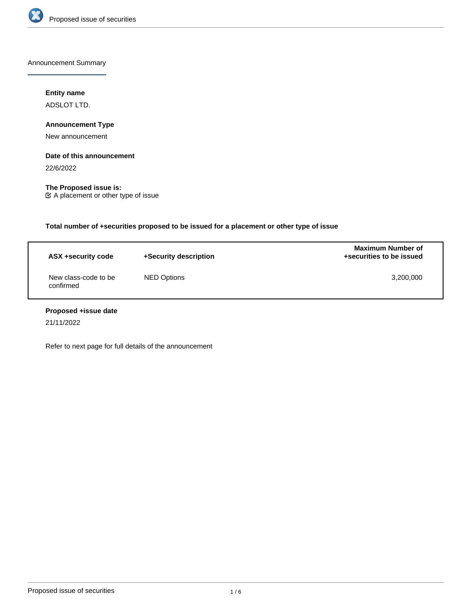

Announcement Summary

# **Entity name**

ADSLOT LTD.

**Announcement Type**

New announcement

## **Date of this announcement**

22/6/2022

**The Proposed issue is:** A placement or other type of issue

**Total number of +securities proposed to be issued for a placement or other type of issue**

| ASX +security code                | +Security description | <b>Maximum Number of</b><br>+securities to be issued |
|-----------------------------------|-----------------------|------------------------------------------------------|
| New class-code to be<br>confirmed | NED Options           | 3,200,000                                            |

# **Proposed +issue date**

21/11/2022

Refer to next page for full details of the announcement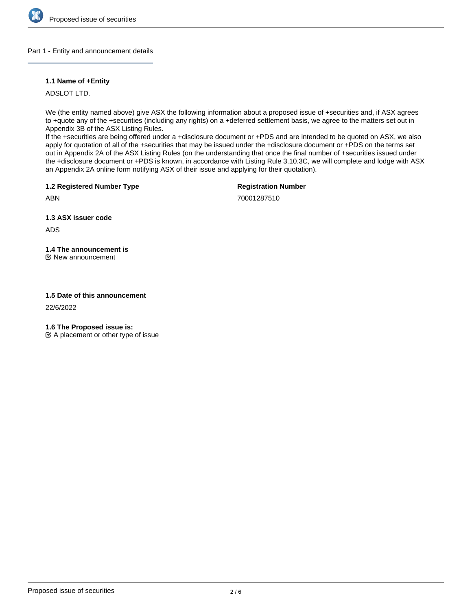

Part 1 - Entity and announcement details

# **1.1 Name of +Entity**

ADSLOT LTD.

We (the entity named above) give ASX the following information about a proposed issue of +securities and, if ASX agrees to +quote any of the +securities (including any rights) on a +deferred settlement basis, we agree to the matters set out in Appendix 3B of the ASX Listing Rules.

If the +securities are being offered under a +disclosure document or +PDS and are intended to be quoted on ASX, we also apply for quotation of all of the +securities that may be issued under the +disclosure document or +PDS on the terms set out in Appendix 2A of the ASX Listing Rules (on the understanding that once the final number of +securities issued under the +disclosure document or +PDS is known, in accordance with Listing Rule 3.10.3C, we will complete and lodge with ASX an Appendix 2A online form notifying ASX of their issue and applying for their quotation).

**1.2 Registered Number Type**

**Registration Number**

70001287510

**1.3 ASX issuer code**

ADS

ABN

**1.4 The announcement is** New announcement

# **1.5 Date of this announcement**

22/6/2022

**1.6 The Proposed issue is:**

 $\mathfrak{C}$  A placement or other type of issue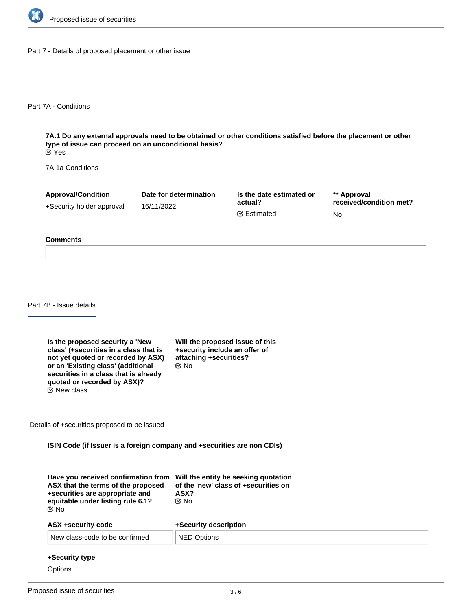

Part 7 - Details of proposed placement or other issue

Part 7A - Conditions

**7A.1 Do any external approvals need to be obtained or other conditions satisfied before the placement or other type of issue can proceed on an unconditional basis?** Yes

7A.1a Conditions

**Approval/Condition** +Security holder approval **Date for determination** 16/11/2022 **Is the date estimated or actual? \*\* Approval received/condition met?** No Estimated

#### **Comments**

Part 7B - Issue details

**Is the proposed security a 'New class' (+securities in a class that is not yet quoted or recorded by ASX) or an 'Existing class' (additional securities in a class that is already quoted or recorded by ASX)?** New class

**Will the proposed issue of this +security include an offer of attaching +securities?** No

Details of +securities proposed to be issued

**ISIN Code (if Issuer is a foreign company and +securities are non CDIs)**

| C⁄⊠ No | ASX that the terms of the proposed<br>+securities are appropriate and<br>equitable under listing rule 6.1? | Have you received confirmation from Will the entity be seeking quotation<br>of the 'new' class of +securities on<br>ASX?<br>©⁄ No |  |
|--------|------------------------------------------------------------------------------------------------------------|-----------------------------------------------------------------------------------------------------------------------------------|--|
|        | ASX +security code                                                                                         | +Security description                                                                                                             |  |
|        | New class-code to be confirmed                                                                             | <b>NED Options</b>                                                                                                                |  |

#### **+Security type**

**Options**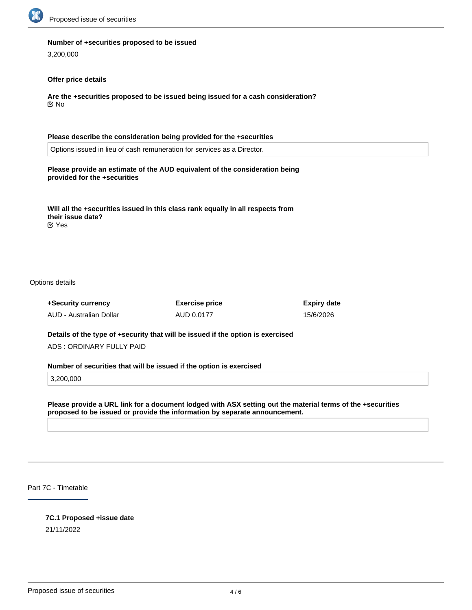

#### **Number of +securities proposed to be issued**

3,200,000

## **Offer price details**

**Are the +securities proposed to be issued being issued for a cash consideration?** No

**Please describe the consideration being provided for the +securities** Options issued in lieu of cash remuneration for services as a Director. **Please provide an estimate of the AUD equivalent of the consideration being provided for the +securities**

**Will all the +securities issued in this class rank equally in all respects from their issue date?** Yes

Options details

**+Security currency** AUD - Australian Dollar **Exercise price** AUD 0.0177

**Expiry date** 15/6/2026

**Details of the type of +security that will be issued if the option is exercised** ADS : ORDINARY FULLY PAID

**Number of securities that will be issued if the option is exercised**

3,200,000

**Please provide a URL link for a document lodged with ASX setting out the material terms of the +securities proposed to be issued or provide the information by separate announcement.**

Part 7C - Timetable

### **7C.1 Proposed +issue date**

21/11/2022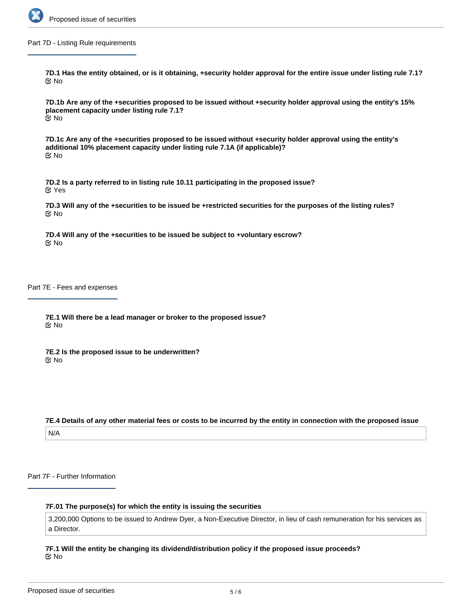

Part 7D - Listing Rule requirements

**7D.1 Has the entity obtained, or is it obtaining, +security holder approval for the entire issue under listing rule 7.1?** No

**7D.1b Are any of the +securities proposed to be issued without +security holder approval using the entity's 15% placement capacity under listing rule 7.1?** No

**7D.1c Are any of the +securities proposed to be issued without +security holder approval using the entity's additional 10% placement capacity under listing rule 7.1A (if applicable)?** No

**7D.2 Is a party referred to in listing rule 10.11 participating in the proposed issue?** Yes

**7D.3 Will any of the +securities to be issued be +restricted securities for the purposes of the listing rules?** No

**7D.4 Will any of the +securities to be issued be subject to +voluntary escrow?** No

Part 7E - Fees and expenses

**7E.1 Will there be a lead manager or broker to the proposed issue?** No

**7E.2 Is the proposed issue to be underwritten?** No

**7E.4 Details of any other material fees or costs to be incurred by the entity in connection with the proposed issue** N/A

Part 7F - Further Information

## **7F.01 The purpose(s) for which the entity is issuing the securities**

3,200,000 Options to be issued to Andrew Dyer, a Non-Executive Director, in lieu of cash remuneration for his services as a Director.

**7F.1 Will the entity be changing its dividend/distribution policy if the proposed issue proceeds?** No

**7F.2 Any other information the entity wishes to provide about the proposed issue**